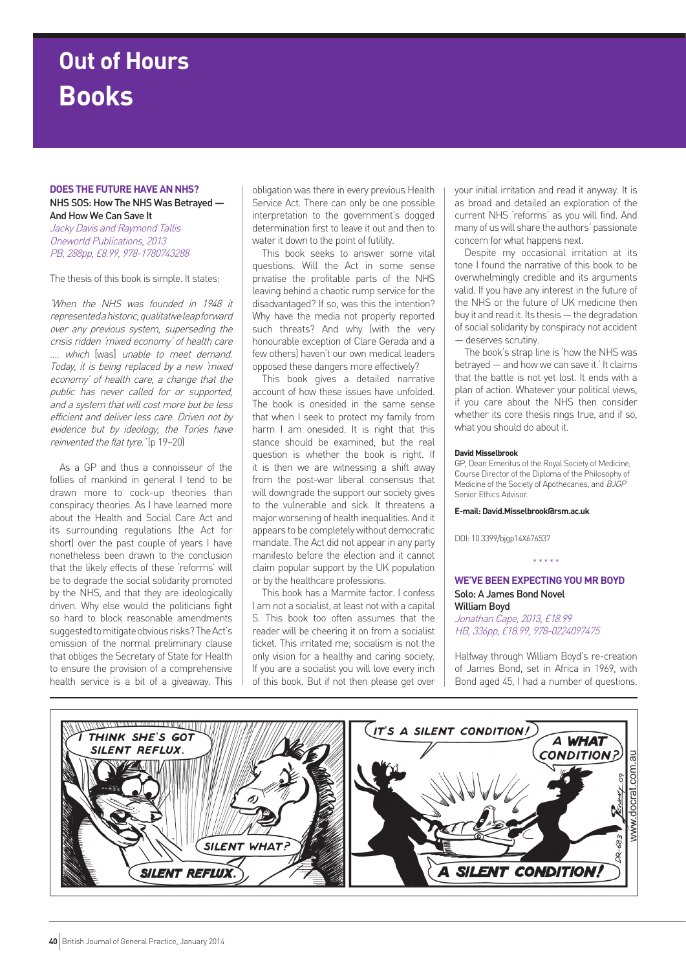## **Books Out of Hours**

### **Does the future have an NHS?** NHS SOS: How The NHS Was Betrayed — And How We Can Save It

Jacky Davis and Raymond Tallis Oneworld Publications, 2013 PB, 288pp, £8.99, 978-1780743288

The thesis of this book is simple. It states:

'When the NHS was founded in 1948 it represented a historic, qualitative leap forward over any previous system, superseding the crisis ridden 'mixed economy' of health care …. which [was] unable to meet demand. Today, it is being replaced by a new 'mixed economy' of health care, a change that the public has never called for or supported, and a system that will cost more but be less efficient and deliver less care. Driven not by evidence but by ideology, the Tories have reinvented the flat tyre.' (p 19-20)

As a GP and thus a connoisseur of the follies of mankind in general I tend to be drawn more to cock-up theories than conspiracy theories. As I have learned more about the Health and Social Care Act and its surrounding regulations (the Act for short) over the past couple of years I have nonetheless been drawn to the conclusion that the likely effects of these 'reforms' will be to degrade the social solidarity promoted by the NHS, and that they are ideologically driven. Why else would the politicians fight so hard to block reasonable amendments suggested to mitigate obvious risks? The Act's omission of the normal preliminary clause that obliges the Secretary of State for Health to ensure the provision of a comprehensive health service is a bit of a giveaway. This

obligation was there in every previous Health Service Act. There can only be one possible interpretation to the government's dogged determination first to leave it out and then to water it down to the point of futility.

This book seeks to answer some vital questions. Will the Act in some sense privatise the profitable parts of the NHS leaving behind a chaotic rump service for the disadvantaged? If so, was this the intention? Why have the media not properly reported such threats? And why (with the very honourable exception of Clare Gerada and a few others) haven't our own medical leaders opposed these dangers more effectively?

This book gives a detailed narrative account of how these issues have unfolded. The book is onesided in the same sense that when I seek to protect my family from harm I am onesided. It is right that this stance should be examined, but the real question is whether the book is right. If it is then we are witnessing a shift away from the post-war liberal consensus that will downgrade the support our society gives to the vulnerable and sick. It threatens a major worsening of health inequalities. And it appears to be completely without democratic mandate. The Act did not appear in any party manifesto before the election and it cannot claim popular support by the UK population or by the healthcare professions.

This book has a Marmite factor. I confess I am not a socialist, at least not with a capital S. This book too often assumes that the reader will be cheering it on from a socialist ticket. This irritated me; socialism is not the only vision for a healthy and caring society. If you are a socialist you will love every inch of this book. But if not then please get over your initial irritation and read it anyway. It is as broad and detailed an exploration of the current NHS 'reforms' as you will find. And many of us will share the authors' passionate concern for what happens next.

Despite my occasional irritation at its tone I found the narrative of this book to be overwhelmingly credible and its arguments valid. If you have any interest in the future of the NHS or the future of UK medicine then buy it and read it. Its thesis — the degradation of social solidarity by conspiracy not accident — deserves scrutiny.

The book's strap line is 'how the NHS was betrayed — and how we can save it.' It claims that the battle is not yet lost. It ends with a plan of action. Whatever your political views, if you care about the NHS then consider whether its core thesis rings true, and if so, what you should do about it.

#### **David Misselbrook**

GP, Dean Emeritus of the Royal Society of Medicine, Course Director of the Diploma of the Philosophy of Medicine of the Society of Apothecaries, and BJGP Senior Ethics Advisor.

#### **E-mail: David.Misselbrook@rsm.ac.uk**

DOI: 10.3399/bjgp14X676537

## \* \* \* \* \*

**We've been expecting you Mr Boyd** Solo: A James Bond Novel William Boyd Jonathan Cape, 2013, £18.99 HB, 336pp, £18.99, 978-0224097475

Halfway through William Boyd's re-creation of James Bond, set in Africa in 1969, with Bond aged 45, I had a number of questions.